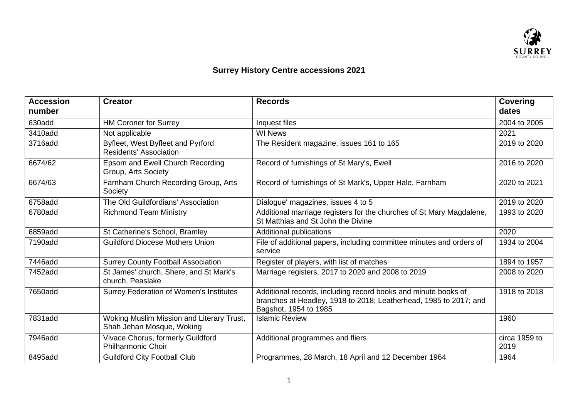

## **Surrey History Centre accessions 2021**

| <b>Accession</b><br>number | <b>Creator</b>                                                         | <b>Records</b>                                                                                                                                               | <b>Covering</b><br>dates |
|----------------------------|------------------------------------------------------------------------|--------------------------------------------------------------------------------------------------------------------------------------------------------------|--------------------------|
| 630add                     | <b>HM Coroner for Surrey</b>                                           | Inquest files                                                                                                                                                | 2004 to 2005             |
| 3410add                    | Not applicable                                                         | <b>WI News</b>                                                                                                                                               | 2021                     |
| 3716add                    | Byfleet, West Byfleet and Pyrford<br>Residents' Association            | The Resident magazine, issues 161 to 165                                                                                                                     | 2019 to 2020             |
| 6674/62                    | Epsom and Ewell Church Recording<br>Group, Arts Society                | Record of furnishings of St Mary's, Ewell                                                                                                                    | 2016 to 2020             |
| 6674/63                    | Farnham Church Recording Group, Arts<br>Society                        | Record of furnishings of St Mark's, Upper Hale, Farnham                                                                                                      | 2020 to 2021             |
| 6758add                    | The Old Guildfordians' Association                                     | Dialogue' magazines, issues 4 to 5                                                                                                                           | 2019 to 2020             |
| 6780add                    | <b>Richmond Team Ministry</b>                                          | Additional marriage registers for the churches of St Mary Magdalene,<br>St Matthias and St John the Divine                                                   | 1993 to 2020             |
| 6859add                    | St Catherine's School, Bramley                                         | Additional publications                                                                                                                                      | 2020                     |
| 7190add                    | <b>Guildford Diocese Mothers Union</b>                                 | File of additional papers, including committee minutes and orders of<br>service                                                                              | 1934 to 2004             |
| 7446add                    | <b>Surrey County Football Association</b>                              | Register of players, with list of matches                                                                                                                    | 1894 to 1957             |
| 7452add                    | St James' church, Shere, and St Mark's<br>church, Peaslake             | Marriage registers, 2017 to 2020 and 2008 to 2019                                                                                                            | 2008 to 2020             |
| 7650add                    | Surrey Federation of Women's Institutes                                | Additional records, including record books and minute books of<br>branches at Headley, 1918 to 2018; Leatherhead, 1985 to 2017; and<br>Bagshot, 1954 to 1985 | 1918 to 2018             |
| 7831add                    | Woking Muslim Mission and Literary Trust,<br>Shah Jehan Mosque, Woking | <b>Islamic Review</b>                                                                                                                                        | 1960                     |
| 7946add                    | Vivace Chorus, formerly Guildford<br><b>Philharmonic Choir</b>         | Additional programmes and fliers                                                                                                                             | circa 1959 to<br>2019    |
| 8495add                    | <b>Guildford City Football Club</b>                                    | Programmes, 28 March, 18 April and 12 December 1964                                                                                                          | 1964                     |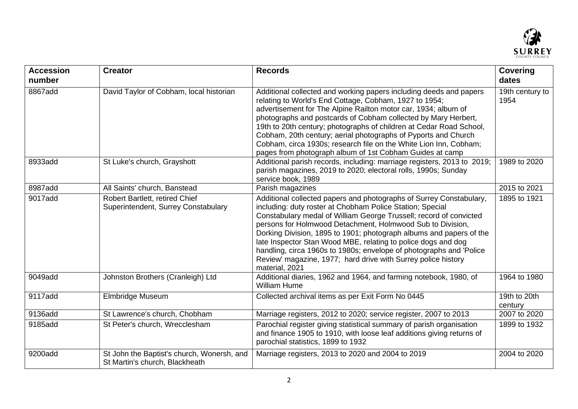

| <b>Accession</b><br>number | <b>Creator</b>                                                               | <b>Records</b>                                                                                                                                                                                                                                                                                                                                                                                                                                                                                                                                                         | <b>Covering</b><br>dates |
|----------------------------|------------------------------------------------------------------------------|------------------------------------------------------------------------------------------------------------------------------------------------------------------------------------------------------------------------------------------------------------------------------------------------------------------------------------------------------------------------------------------------------------------------------------------------------------------------------------------------------------------------------------------------------------------------|--------------------------|
| 8867add                    | David Taylor of Cobham, local historian                                      | Additional collected and working papers including deeds and papers<br>relating to World's End Cottage, Cobham, 1927 to 1954;<br>advertisement for The Alpine Railton motor car, 1934; album of<br>photographs and postcards of Cobham collected by Mary Herbert,<br>19th to 20th century; photographs of children at Cedar Road School,<br>Cobham, 20th century; aerial photographs of Pyports and Church<br>Cobham, circa 1930s; research file on the White Lion Inn, Cobham;<br>pages from photograph album of 1st Cobham Guides at camp                             | 19th century to<br>1954  |
| 8933add                    | St Luke's church, Grayshott                                                  | Additional parish records, including: marriage registers, 2013 to 2019;<br>parish magazines, 2019 to 2020; electoral rolls, 1990s; Sunday<br>service book, 1989                                                                                                                                                                                                                                                                                                                                                                                                        | 1989 to 2020             |
| 8987add                    | All Saints' church, Banstead                                                 | Parish magazines                                                                                                                                                                                                                                                                                                                                                                                                                                                                                                                                                       | 2015 to 2021             |
| 9017add                    | Robert Bartlett, retired Chief<br>Superintendent, Surrey Constabulary        | Additional collected papers and photographs of Surrey Constabulary,<br>including: duty roster at Chobham Police Station; Special<br>Constabulary medal of William George Trussell; record of convicted<br>persons for Holmwood Detachment, Holmwood Sub to Division,<br>Dorking Division, 1895 to 1901; photograph albums and papers of the<br>late Inspector Stan Wood MBE, relating to police dogs and dog<br>handling, circa 1960s to 1980s; envelope of photographs and 'Police<br>Review' magazine, 1977; hard drive with Surrey police history<br>material, 2021 | 1895 to 1921             |
| 9049add                    | Johnston Brothers (Cranleigh) Ltd                                            | Additional diaries, 1962 and 1964, and farming notebook, 1980, of<br><b>William Hume</b>                                                                                                                                                                                                                                                                                                                                                                                                                                                                               | 1964 to 1980             |
| 9117add                    | Elmbridge Museum                                                             | Collected archival items as per Exit Form No 0445                                                                                                                                                                                                                                                                                                                                                                                                                                                                                                                      | 19th to 20th<br>century  |
| 9136add                    | St Lawrence's church, Chobham                                                | Marriage registers, 2012 to 2020; service register, 2007 to 2013                                                                                                                                                                                                                                                                                                                                                                                                                                                                                                       | 2007 to 2020             |
| 9185add                    | St Peter's church, Wrecclesham                                               | Parochial register giving statistical summary of parish organisation<br>and finance 1905 to 1910, with loose leaf additions giving returns of<br>parochial statistics, 1899 to 1932                                                                                                                                                                                                                                                                                                                                                                                    | 1899 to 1932             |
| 9200add                    | St John the Baptist's church, Wonersh, and<br>St Martin's church, Blackheath | Marriage registers, 2013 to 2020 and 2004 to 2019                                                                                                                                                                                                                                                                                                                                                                                                                                                                                                                      | 2004 to 2020             |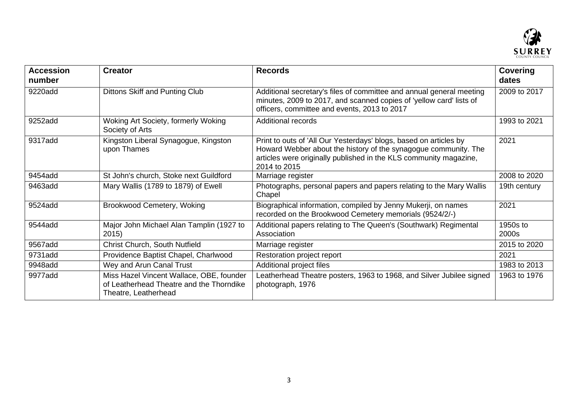

| <b>Accession</b><br>number | <b>Creator</b>                                                                                               | <b>Records</b>                                                                                                                                                                                                            | <b>Covering</b><br>dates |
|----------------------------|--------------------------------------------------------------------------------------------------------------|---------------------------------------------------------------------------------------------------------------------------------------------------------------------------------------------------------------------------|--------------------------|
| 9220add                    | Dittons Skiff and Punting Club                                                                               | Additional secretary's files of committee and annual general meeting<br>minutes, 2009 to 2017, and scanned copies of 'yellow card' lists of<br>officers, committee and events, 2013 to 2017                               | 2009 to 2017             |
| 9252add                    | Woking Art Society, formerly Woking<br>Society of Arts                                                       | <b>Additional records</b>                                                                                                                                                                                                 | 1993 to 2021             |
| 9317add                    | Kingston Liberal Synagogue, Kingston<br>upon Thames                                                          | Print to outs of 'All Our Yesterdays' blogs, based on articles by<br>Howard Webber about the history of the synagogue community. The<br>articles were originally published in the KLS community magazine,<br>2014 to 2015 | 2021                     |
| 9454add                    | St John's church, Stoke next Guildford                                                                       | Marriage register                                                                                                                                                                                                         | 2008 to 2020             |
| 9463add                    | Mary Wallis (1789 to 1879) of Ewell                                                                          | Photographs, personal papers and papers relating to the Mary Wallis<br>Chapel                                                                                                                                             | 19th century             |
| 9524add                    | <b>Brookwood Cemetery, Woking</b>                                                                            | Biographical information, compiled by Jenny Mukerji, on names<br>recorded on the Brookwood Cemetery memorials (9524/2/-)                                                                                                  | 2021                     |
| 9544add                    | Major John Michael Alan Tamplin (1927 to<br>2015)                                                            | Additional papers relating to The Queen's (Southwark) Regimental<br>Association                                                                                                                                           | 1950s to<br>2000s        |
| 9567add                    | Christ Church, South Nutfield                                                                                | Marriage register                                                                                                                                                                                                         | 2015 to 2020             |
| 9731add                    | Providence Baptist Chapel, Charlwood                                                                         | Restoration project report                                                                                                                                                                                                | 2021                     |
| 9948add                    | Wey and Arun Canal Trust                                                                                     | Additional project files                                                                                                                                                                                                  | 1983 to 2013             |
| 9977add                    | Miss Hazel Vincent Wallace, OBE, founder<br>of Leatherhead Theatre and the Thorndike<br>Theatre, Leatherhead | Leatherhead Theatre posters, 1963 to 1968, and Silver Jubilee signed<br>photograph, 1976                                                                                                                                  | 1963 to 1976             |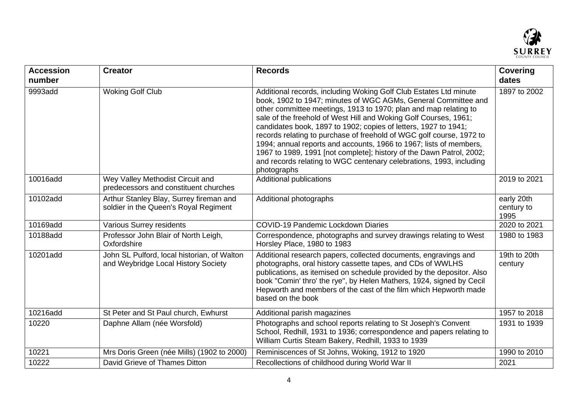

| <b>Accession</b><br>number | <b>Creator</b>                                                                     | <b>Records</b>                                                                                                                                                                                                                                                                                                                                                                                                                                                                                                                                                                                                                                             | <b>Covering</b><br>dates         |
|----------------------------|------------------------------------------------------------------------------------|------------------------------------------------------------------------------------------------------------------------------------------------------------------------------------------------------------------------------------------------------------------------------------------------------------------------------------------------------------------------------------------------------------------------------------------------------------------------------------------------------------------------------------------------------------------------------------------------------------------------------------------------------------|----------------------------------|
| 9993add                    | <b>Woking Golf Club</b>                                                            | Additional records, including Woking Golf Club Estates Ltd minute<br>book, 1902 to 1947; minutes of WGC AGMs, General Committee and<br>other committee meetings, 1913 to 1970; plan and map relating to<br>sale of the freehold of West Hill and Woking Golf Courses, 1961;<br>candidates book, 1897 to 1902; copies of letters, 1927 to 1941;<br>records relating to purchase of freehold of WGC golf course, 1972 to<br>1994; annual reports and accounts, 1966 to 1967; lists of members,<br>1967 to 1989, 1991 [not complete]; history of the Dawn Patrol, 2002;<br>and records relating to WGC centenary celebrations, 1993, including<br>photographs | 1897 to 2002                     |
| 10016add                   | Wey Valley Methodist Circuit and<br>predecessors and constituent churches          | Additional publications                                                                                                                                                                                                                                                                                                                                                                                                                                                                                                                                                                                                                                    | 2019 to 2021                     |
| 10102add                   | Arthur Stanley Blay, Surrey fireman and<br>soldier in the Queen's Royal Regiment   | Additional photographs                                                                                                                                                                                                                                                                                                                                                                                                                                                                                                                                                                                                                                     | early 20th<br>century to<br>1995 |
| 10169add                   | <b>Various Surrey residents</b>                                                    | <b>COVID-19 Pandemic Lockdown Diaries</b>                                                                                                                                                                                                                                                                                                                                                                                                                                                                                                                                                                                                                  | 2020 to 2021                     |
| 10188add                   | Professor John Blair of North Leigh,<br>Oxfordshire                                | Correspondence, photographs and survey drawings relating to West<br>Horsley Place, 1980 to 1983                                                                                                                                                                                                                                                                                                                                                                                                                                                                                                                                                            | 1980 to 1983                     |
| 10201add                   | John SL Pulford, local historian, of Walton<br>and Weybridge Local History Society | Additional research papers, collected documents, engravings and<br>photographs, oral history cassette tapes, and CDs of WWLHS<br>publications, as itemised on schedule provided by the depositor. Also<br>book "Comin' thro' the rye", by Helen Mathers, 1924, signed by Cecil<br>Hepworth and members of the cast of the film which Hepworth made<br>based on the book                                                                                                                                                                                                                                                                                    | 19th to 20th<br>century          |
| 10216add                   | St Peter and St Paul church, Ewhurst                                               | Additional parish magazines                                                                                                                                                                                                                                                                                                                                                                                                                                                                                                                                                                                                                                | 1957 to 2018                     |
| 10220                      | Daphne Allam (née Worsfold)                                                        | Photographs and school reports relating to St Joseph's Convent<br>School, Redhill, 1931 to 1936; correspondence and papers relating to<br>William Curtis Steam Bakery, Redhill, 1933 to 1939                                                                                                                                                                                                                                                                                                                                                                                                                                                               | 1931 to 1939                     |
| 10221                      | Mrs Doris Green (née Mills) (1902 to 2000)                                         | Reminiscences of St Johns, Woking, 1912 to 1920                                                                                                                                                                                                                                                                                                                                                                                                                                                                                                                                                                                                            | 1990 to 2010                     |
| 10222                      | David Grieve of Thames Ditton                                                      | Recollections of childhood during World War II                                                                                                                                                                                                                                                                                                                                                                                                                                                                                                                                                                                                             | 2021                             |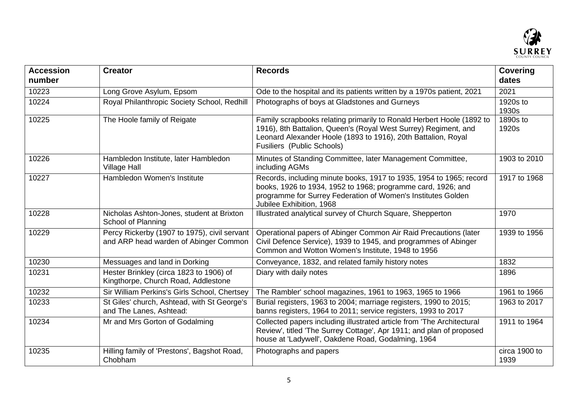

| <b>Accession</b><br>number | <b>Creator</b>                                                                        | <b>Records</b>                                                                                                                                                                                                                          | <b>Covering</b><br>dates |
|----------------------------|---------------------------------------------------------------------------------------|-----------------------------------------------------------------------------------------------------------------------------------------------------------------------------------------------------------------------------------------|--------------------------|
| 10223                      | Long Grove Asylum, Epsom                                                              | Ode to the hospital and its patients written by a 1970s patient, 2021                                                                                                                                                                   | 2021                     |
| 10224                      | Royal Philanthropic Society School, Redhill                                           | Photographs of boys at Gladstones and Gurneys                                                                                                                                                                                           | 1920s to<br>1930s        |
| 10225                      | The Hoole family of Reigate                                                           | Family scrapbooks relating primarily to Ronald Herbert Hoole (1892 to<br>1916), 8th Battalion, Queen's (Royal West Surrey) Regiment, and<br>Leonard Alexander Hoole (1893 to 1916), 20th Battalion, Royal<br>Fusiliers (Public Schools) | 1890s to<br>1920s        |
| 10226                      | Hambledon Institute, later Hambledon<br><b>Village Hall</b>                           | Minutes of Standing Committee, later Management Committee,<br>including AGMs                                                                                                                                                            | 1903 to 2010             |
| 10227                      | Hambledon Women's Institute                                                           | Records, including minute books, 1917 to 1935, 1954 to 1965; record<br>books, 1926 to 1934, 1952 to 1968; programme card, 1926; and<br>programme for Surrey Federation of Women's Institutes Golden<br>Jubilee Exhibition, 1968         | 1917 to 1968             |
| 10228                      | Nicholas Ashton-Jones, student at Brixton<br>School of Planning                       | Illustrated analytical survey of Church Square, Shepperton                                                                                                                                                                              | 1970                     |
| 10229                      | Percy Rickerby (1907 to 1975), civil servant<br>and ARP head warden of Abinger Common | Operational papers of Abinger Common Air Raid Precautions (later<br>Civil Defence Service), 1939 to 1945, and programmes of Abinger<br>Common and Wotton Women's Institute, 1948 to 1956                                                | 1939 to 1956             |
| 10230                      | Messuages and land in Dorking                                                         | Conveyance, 1832, and related family history notes                                                                                                                                                                                      | 1832                     |
| 10231                      | Hester Brinkley (circa 1823 to 1906) of<br>Kingthorpe, Church Road, Addlestone        | Diary with daily notes                                                                                                                                                                                                                  | 1896                     |
| 10232                      | Sir William Perkins's Girls School, Chertsey                                          | The Rambler' school magazines, 1961 to 1963, 1965 to 1966                                                                                                                                                                               | 1961 to 1966             |
| 10233                      | St Giles' church, Ashtead, with St George's<br>and The Lanes, Ashtead:                | Burial registers, 1963 to 2004; marriage registers, 1990 to 2015;<br>banns registers, 1964 to 2011; service registers, 1993 to 2017                                                                                                     | 1963 to 2017             |
| 10234                      | Mr and Mrs Gorton of Godalming                                                        | Collected papers including illustrated article from 'The Architectural<br>Review', titled 'The Surrey Cottage', Apr 1911; and plan of proposed<br>house at 'Ladywell', Oakdene Road, Godalming, 1964                                    | 1911 to 1964             |
| 10235                      | Hilling family of 'Prestons', Bagshot Road,<br>Chobham                                | Photographs and papers                                                                                                                                                                                                                  | circa 1900 to<br>1939    |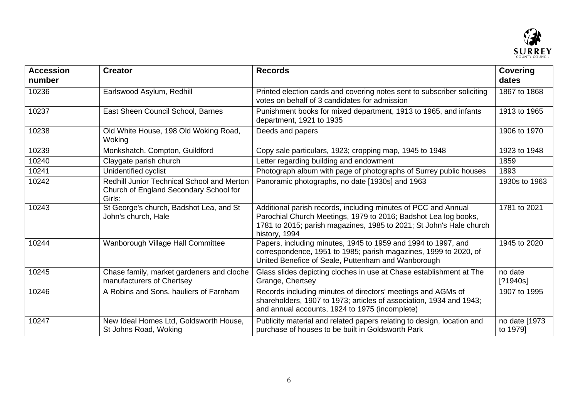

| <b>Accession</b><br>number | <b>Creator</b>                                                                                        | <b>Records</b>                                                                                                                                                                                                            | <b>Covering</b><br>dates   |
|----------------------------|-------------------------------------------------------------------------------------------------------|---------------------------------------------------------------------------------------------------------------------------------------------------------------------------------------------------------------------------|----------------------------|
| 10236                      | Earlswood Asylum, Redhill                                                                             | Printed election cards and covering notes sent to subscriber soliciting<br>votes on behalf of 3 candidates for admission                                                                                                  | 1867 to 1868               |
| 10237                      | East Sheen Council School, Barnes                                                                     | Punishment books for mixed department, 1913 to 1965, and infants<br>department, 1921 to 1935                                                                                                                              | 1913 to 1965               |
| 10238                      | Old White House, 198 Old Woking Road,<br>Woking                                                       | Deeds and papers                                                                                                                                                                                                          | 1906 to 1970               |
| 10239                      | Monkshatch, Compton, Guildford                                                                        | Copy sale particulars, 1923; cropping map, 1945 to 1948                                                                                                                                                                   | 1923 to 1948               |
| 10240                      | Claygate parish church                                                                                | Letter regarding building and endowment                                                                                                                                                                                   | 1859                       |
| 10241                      | Unidentified cyclist                                                                                  | Photograph album with page of photographs of Surrey public houses                                                                                                                                                         | 1893                       |
| 10242                      | <b>Redhill Junior Technical School and Merton</b><br>Church of England Secondary School for<br>Girls: | Panoramic photographs, no date [1930s] and 1963                                                                                                                                                                           | 1930s to 1963              |
| 10243                      | St George's church, Badshot Lea, and St<br>John's church, Hale                                        | Additional parish records, including minutes of PCC and Annual<br>Parochial Church Meetings, 1979 to 2016; Badshot Lea log books,<br>1781 to 2015; parish magazines, 1985 to 2021; St John's Hale church<br>history, 1994 | 1781 to 2021               |
| 10244                      | Wanborough Village Hall Committee                                                                     | Papers, including minutes, 1945 to 1959 and 1994 to 1997, and<br>correspondence, 1951 to 1985; parish magazines, 1999 to 2020, of<br>United Benefice of Seale, Puttenham and Wanborough                                   | 1945 to 2020               |
| 10245                      | Chase family, market gardeners and cloche<br>manufacturers of Chertsey                                | Glass slides depicting cloches in use at Chase establishment at The<br>Grange, Chertsey                                                                                                                                   | no date<br>[?1940s]        |
| 10246                      | A Robins and Sons, hauliers of Farnham                                                                | Records including minutes of directors' meetings and AGMs of<br>shareholders, 1907 to 1973; articles of association, 1934 and 1943;<br>and annual accounts, 1924 to 1975 (incomplete)                                     | 1907 to 1995               |
| 10247                      | New Ideal Homes Ltd, Goldsworth House,<br>St Johns Road, Woking                                       | Publicity material and related papers relating to design, location and<br>purchase of houses to be built in Goldsworth Park                                                                                               | no date [1973]<br>to 1979] |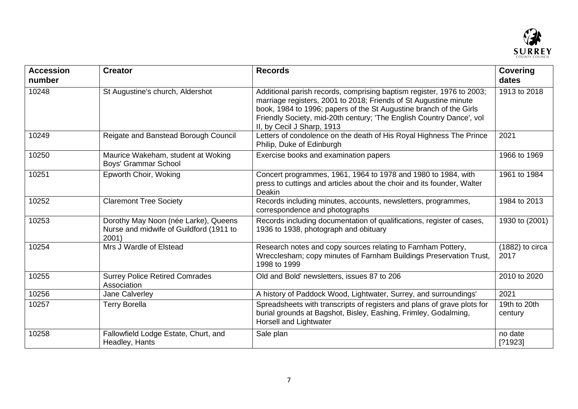

| <b>Accession</b><br>number | <b>Creator</b>                                                                           | <b>Records</b>                                                                                                                                                                                                                                                                                                        | <b>Covering</b><br>dates  |
|----------------------------|------------------------------------------------------------------------------------------|-----------------------------------------------------------------------------------------------------------------------------------------------------------------------------------------------------------------------------------------------------------------------------------------------------------------------|---------------------------|
| 10248                      | St Augustine's church, Aldershot                                                         | Additional parish records, comprising baptism register, 1976 to 2003;<br>marriage registers, 2001 to 2018; Friends of St Augustine minute<br>book, 1984 to 1996; papers of the St Augustine branch of the Girls<br>Friendly Society, mid-20th century; 'The English Country Dance', vol<br>II, by Cecil J Sharp, 1913 | 1913 to 2018              |
| 10249                      | Reigate and Banstead Borough Council                                                     | Letters of condolence on the death of His Royal Highness The Prince<br>Philip, Duke of Edinburgh                                                                                                                                                                                                                      | 2021                      |
| 10250                      | Maurice Wakeham, student at Woking<br>Boys' Grammar School                               | Exercise books and examination papers                                                                                                                                                                                                                                                                                 | 1966 to 1969              |
| 10251                      | Epworth Choir, Woking                                                                    | Concert programmes, 1961, 1964 to 1978 and 1980 to 1984, with<br>press to cuttings and articles about the choir and its founder, Walter<br>Deakin                                                                                                                                                                     | 1961 to 1984              |
| 10252                      | <b>Claremont Tree Society</b>                                                            | Records including minutes, accounts, newsletters, programmes,<br>correspondence and photographs                                                                                                                                                                                                                       | 1984 to 2013              |
| 10253                      | Dorothy May Noon (née Larke), Queens<br>Nurse and midwife of Guildford (1911 to<br>2001) | Records including documentation of qualifications, register of cases,<br>1936 to 1938, photograph and obituary                                                                                                                                                                                                        | 1930 to (2001)            |
| 10254                      | Mrs J Wardle of Elstead                                                                  | Research notes and copy sources relating to Farnham Pottery,<br>Wrecclesham; copy minutes of Farnham Buildings Preservation Trust,<br>1998 to 1999                                                                                                                                                                    | $(1882)$ to circa<br>2017 |
| 10255                      | <b>Surrey Police Retired Comrades</b><br>Association                                     | Old and Bold' newsletters, issues 87 to 206                                                                                                                                                                                                                                                                           | 2010 to 2020              |
| 10256                      | Jane Calverley                                                                           | A history of Paddock Wood, Lightwater, Surrey, and surroundings'                                                                                                                                                                                                                                                      | 2021                      |
| 10257                      | <b>Terry Borella</b>                                                                     | Spreadsheets with transcripts of registers and plans of grave plots for<br>burial grounds at Bagshot, Bisley, Eashing, Frimley, Godalming,<br>Horsell and Lightwater                                                                                                                                                  | 19th to 20th<br>century   |
| 10258                      | Fallowfield Lodge Estate, Churt, and<br>Headley, Hants                                   | Sale plan                                                                                                                                                                                                                                                                                                             | no date<br>[?1923]        |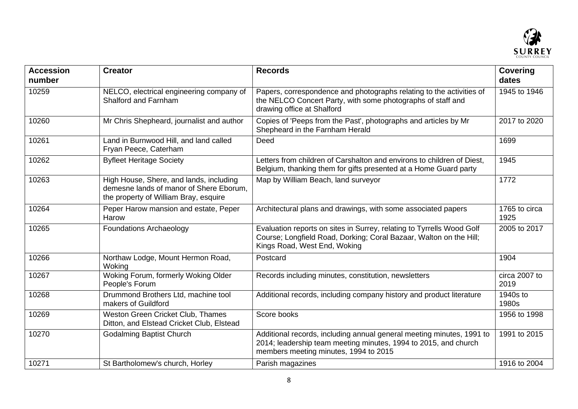

| <b>Accession</b><br>number | <b>Creator</b>                                                                                                              | <b>Records</b>                                                                                                                                                                    | <b>Covering</b><br>dates |
|----------------------------|-----------------------------------------------------------------------------------------------------------------------------|-----------------------------------------------------------------------------------------------------------------------------------------------------------------------------------|--------------------------|
| 10259                      | NELCO, electrical engineering company of<br>Shalford and Farnham                                                            | Papers, correspondence and photographs relating to the activities of<br>the NELCO Concert Party, with some photographs of staff and<br>drawing office at Shalford                 | 1945 to 1946             |
| 10260                      | Mr Chris Shepheard, journalist and author                                                                                   | Copies of 'Peeps from the Past', photographs and articles by Mr<br>Shepheard in the Farnham Herald                                                                                | 2017 to 2020             |
| 10261                      | Land in Burnwood Hill, and land called<br>Fryan Peece, Caterham                                                             | Deed                                                                                                                                                                              | 1699                     |
| 10262                      | <b>Byfleet Heritage Society</b>                                                                                             | Letters from children of Carshalton and environs to children of Diest,<br>Belgium, thanking them for gifts presented at a Home Guard party                                        | 1945                     |
| 10263                      | High House, Shere, and lands, including<br>demesne lands of manor of Shere Eborum,<br>the property of William Bray, esquire | Map by William Beach, land surveyor                                                                                                                                               | 1772                     |
| 10264                      | Peper Harow mansion and estate, Peper<br>Harow                                                                              | Architectural plans and drawings, with some associated papers                                                                                                                     | 1765 to circa<br>1925    |
| 10265                      | <b>Foundations Archaeology</b>                                                                                              | Evaluation reports on sites in Surrey, relating to Tyrrells Wood Golf<br>Course; Longfield Road, Dorking; Coral Bazaar, Walton on the Hill;<br>Kings Road, West End, Woking       | 2005 to 2017             |
| 10266                      | Northaw Lodge, Mount Hermon Road,<br>Woking                                                                                 | Postcard                                                                                                                                                                          | 1904                     |
| 10267                      | Woking Forum, formerly Woking Older<br>People's Forum                                                                       | Records including minutes, constitution, newsletters                                                                                                                              | circa 2007 to<br>2019    |
| 10268                      | Drummond Brothers Ltd, machine tool<br>makers of Guildford                                                                  | Additional records, including company history and product literature                                                                                                              | 1940s to<br>1980s        |
| 10269                      | Weston Green Cricket Club, Thames<br>Ditton, and Elstead Cricket Club, Elstead                                              | Score books                                                                                                                                                                       | 1956 to 1998             |
| 10270                      | <b>Godalming Baptist Church</b>                                                                                             | Additional records, including annual general meeting minutes, 1991 to<br>2014; leadership team meeting minutes, 1994 to 2015, and church<br>members meeting minutes, 1994 to 2015 | 1991 to 2015             |
| 10271                      | St Bartholomew's church, Horley                                                                                             | Parish magazines                                                                                                                                                                  | 1916 to 2004             |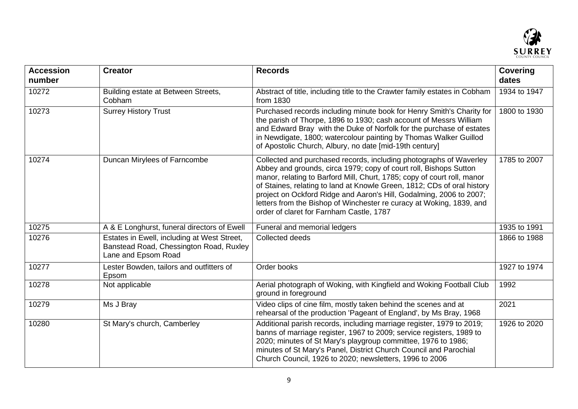

| <b>Accession</b><br>number | <b>Creator</b>                                                                                                | <b>Records</b>                                                                                                                                                                                                                                                                                                                                                                                                                                                                           | <b>Covering</b><br>dates |
|----------------------------|---------------------------------------------------------------------------------------------------------------|------------------------------------------------------------------------------------------------------------------------------------------------------------------------------------------------------------------------------------------------------------------------------------------------------------------------------------------------------------------------------------------------------------------------------------------------------------------------------------------|--------------------------|
| 10272                      | Building estate at Between Streets,<br>Cobham                                                                 | Abstract of title, including title to the Crawter family estates in Cobham<br>from 1830                                                                                                                                                                                                                                                                                                                                                                                                  | 1934 to 1947             |
| 10273                      | <b>Surrey History Trust</b>                                                                                   | Purchased records including minute book for Henry Smith's Charity for<br>the parish of Thorpe, 1896 to 1930; cash account of Messrs William<br>and Edward Bray with the Duke of Norfolk for the purchase of estates<br>in Newdigate, 1800; watercolour painting by Thomas Walker Guillod<br>of Apostolic Church, Albury, no date [mid-19th century]                                                                                                                                      | 1800 to 1930             |
| 10274                      | Duncan Mirylees of Farncombe                                                                                  | Collected and purchased records, including photographs of Waverley<br>Abbey and grounds, circa 1979; copy of court roll, Bishops Sutton<br>manor, relating to Barford Mill, Churt, 1785; copy of court roll, manor<br>of Staines, relating to land at Knowle Green, 1812; CDs of oral history<br>project on Ockford Ridge and Aaron's Hill, Godalming, 2006 to 2007;<br>letters from the Bishop of Winchester re curacy at Woking, 1839, and<br>order of claret for Farnham Castle, 1787 | 1785 to 2007             |
| 10275                      | A & E Longhurst, funeral directors of Ewell                                                                   | Funeral and memorial ledgers                                                                                                                                                                                                                                                                                                                                                                                                                                                             | 1935 to 1991             |
| 10276                      | Estates in Ewell, including at West Street,<br>Banstead Road, Chessington Road, Ruxley<br>Lane and Epsom Road | Collected deeds                                                                                                                                                                                                                                                                                                                                                                                                                                                                          | 1866 to 1988             |
| 10277                      | Lester Bowden, tailors and outfitters of<br>Epsom                                                             | Order books                                                                                                                                                                                                                                                                                                                                                                                                                                                                              | 1927 to 1974             |
| 10278                      | Not applicable                                                                                                | Aerial photograph of Woking, with Kingfield and Woking Football Club<br>ground in foreground                                                                                                                                                                                                                                                                                                                                                                                             | 1992                     |
| 10279                      | Ms J Bray                                                                                                     | Video clips of cine film, mostly taken behind the scenes and at<br>rehearsal of the production 'Pageant of England', by Ms Bray, 1968                                                                                                                                                                                                                                                                                                                                                    | 2021                     |
| 10280                      | St Mary's church, Camberley                                                                                   | Additional parish records, including marriage register, 1979 to 2019;<br>banns of marriage register, 1967 to 2009; service registers, 1989 to<br>2020; minutes of St Mary's playgroup committee, 1976 to 1986;<br>minutes of St Mary's Panel, District Church Council and Parochial<br>Church Council, 1926 to 2020; newsletters, 1996 to 2006                                                                                                                                           | 1926 to 2020             |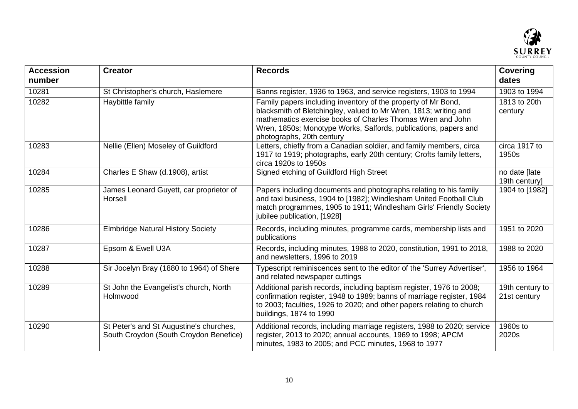

| <b>Accession</b><br>number | <b>Creator</b>                                                                    | <b>Records</b>                                                                                                                                                                                                                                                                                  | <b>Covering</b><br>dates        |
|----------------------------|-----------------------------------------------------------------------------------|-------------------------------------------------------------------------------------------------------------------------------------------------------------------------------------------------------------------------------------------------------------------------------------------------|---------------------------------|
| 10281                      | St Christopher's church, Haslemere                                                | Banns register, 1936 to 1963, and service registers, 1903 to 1994                                                                                                                                                                                                                               | 1903 to 1994                    |
| 10282                      | Haybittle family                                                                  | Family papers including inventory of the property of Mr Bond,<br>blacksmith of Bletchingley, valued to Mr Wren, 1813; writing and<br>mathematics exercise books of Charles Thomas Wren and John<br>Wren, 1850s; Monotype Works, Salfords, publications, papers and<br>photographs, 20th century | 1813 to 20th<br>century         |
| 10283                      | Nellie (Ellen) Moseley of Guildford                                               | Letters, chiefly from a Canadian soldier, and family members, circa<br>1917 to 1919; photographs, early 20th century; Crofts family letters,<br>circa 1920s to 1950s                                                                                                                            | circa 1917 to<br>1950s          |
| 10284                      | Charles E Shaw (d.1908), artist                                                   | Signed etching of Guildford High Street                                                                                                                                                                                                                                                         | no date [late<br>19th century]  |
| 10285                      | James Leonard Guyett, car proprietor of<br>Horsell                                | Papers including documents and photographs relating to his family<br>and taxi business, 1904 to [1982]; Windlesham United Football Club<br>match programmes, 1905 to 1911; Windlesham Girls' Friendly Society<br>jubilee publication, [1928]                                                    | 1904 to [1982]                  |
| 10286                      | <b>Elmbridge Natural History Society</b>                                          | Records, including minutes, programme cards, membership lists and<br>publications                                                                                                                                                                                                               | 1951 to 2020                    |
| 10287                      | Epsom & Ewell U3A                                                                 | Records, including minutes, 1988 to 2020, constitution, 1991 to 2018,<br>and newsletters, 1996 to 2019                                                                                                                                                                                          | 1988 to 2020                    |
| 10288                      | Sir Jocelyn Bray (1880 to 1964) of Shere                                          | Typescript reminiscences sent to the editor of the 'Surrey Advertiser',<br>and related newspaper cuttings                                                                                                                                                                                       | 1956 to 1964                    |
| 10289                      | St John the Evangelist's church, North<br>Holmwood                                | Additional parish records, including baptism register, 1976 to 2008;<br>confirmation register, 1948 to 1989; banns of marriage register, 1984<br>to 2003; faculties, 1926 to 2020; and other papers relating to church<br>buildings, 1874 to 1990                                               | 19th century to<br>21st century |
| 10290                      | St Peter's and St Augustine's churches,<br>South Croydon (South Croydon Benefice) | Additional records, including marriage registers, 1988 to 2020; service<br>register, 2013 to 2020; annual accounts, 1969 to 1998; APCM<br>minutes, 1983 to 2005; and PCC minutes, 1968 to 1977                                                                                                  | 1960s to<br>2020s               |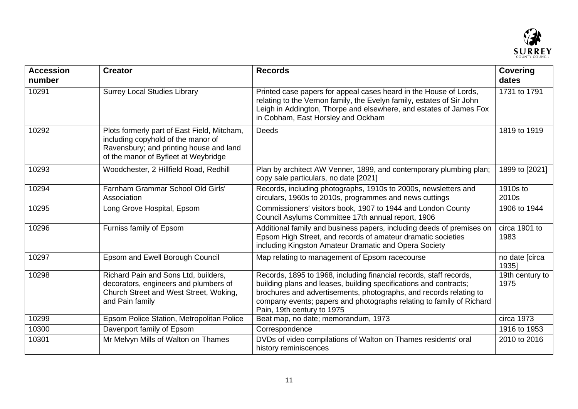

| <b>Accession</b><br>number | <b>Creator</b>                                                                                                                                                       | <b>Records</b>                                                                                                                                                                                                                                                                                                      | <b>Covering</b><br>dates |
|----------------------------|----------------------------------------------------------------------------------------------------------------------------------------------------------------------|---------------------------------------------------------------------------------------------------------------------------------------------------------------------------------------------------------------------------------------------------------------------------------------------------------------------|--------------------------|
| 10291                      | <b>Surrey Local Studies Library</b>                                                                                                                                  | Printed case papers for appeal cases heard in the House of Lords,<br>relating to the Vernon family, the Evelyn family, estates of Sir John<br>Leigh in Addington, Thorpe and elsewhere, and estates of James Fox<br>in Cobham, East Horsley and Ockham                                                              | 1731 to 1791             |
| 10292                      | Plots formerly part of East Field, Mitcham,<br>including copyhold of the manor of<br>Ravensbury; and printing house and land<br>of the manor of Byfleet at Weybridge | <b>Deeds</b>                                                                                                                                                                                                                                                                                                        | 1819 to 1919             |
| 10293                      | Woodchester, 2 Hillfield Road, Redhill                                                                                                                               | Plan by architect AW Venner, 1899, and contemporary plumbing plan;<br>copy sale particulars, no date [2021]                                                                                                                                                                                                         | 1899 to [2021]           |
| 10294                      | Farnham Grammar School Old Girls'<br>Association                                                                                                                     | Records, including photographs, 1910s to 2000s, newsletters and<br>circulars, 1960s to 2010s, programmes and news cuttings                                                                                                                                                                                          | 1910s to<br>2010s        |
| 10295                      | Long Grove Hospital, Epsom                                                                                                                                           | Commissioners' visitors book, 1907 to 1944 and London County<br>Council Asylums Committee 17th annual report, 1906                                                                                                                                                                                                  | 1906 to 1944             |
| 10296                      | Furniss family of Epsom                                                                                                                                              | Additional family and business papers, including deeds of premises on<br>Epsom High Street, and records of amateur dramatic societies<br>including Kingston Amateur Dramatic and Opera Society                                                                                                                      | circa 1901 to<br>1983    |
| 10297                      | Epsom and Ewell Borough Council                                                                                                                                      | Map relating to management of Epsom racecourse                                                                                                                                                                                                                                                                      | no date [circa<br>19351  |
| 10298                      | Richard Pain and Sons Ltd, builders,<br>decorators, engineers and plumbers of<br>Church Street and West Street, Woking,<br>and Pain family                           | Records, 1895 to 1968, including financial records, staff records,<br>building plans and leases, building specifications and contracts;<br>brochures and advertisements, photographs, and records relating to<br>company events; papers and photographs relating to family of Richard<br>Pain, 19th century to 1975 | 19th century to<br>1975  |
| 10299                      | Epsom Police Station, Metropolitan Police                                                                                                                            | Beat map, no date; memorandum, 1973                                                                                                                                                                                                                                                                                 | circa 1973               |
| 10300                      | Davenport family of Epsom                                                                                                                                            | Correspondence                                                                                                                                                                                                                                                                                                      | 1916 to 1953             |
| 10301                      | Mr Melvyn Mills of Walton on Thames                                                                                                                                  | DVDs of video compilations of Walton on Thames residents' oral<br>history reminiscences                                                                                                                                                                                                                             | 2010 to 2016             |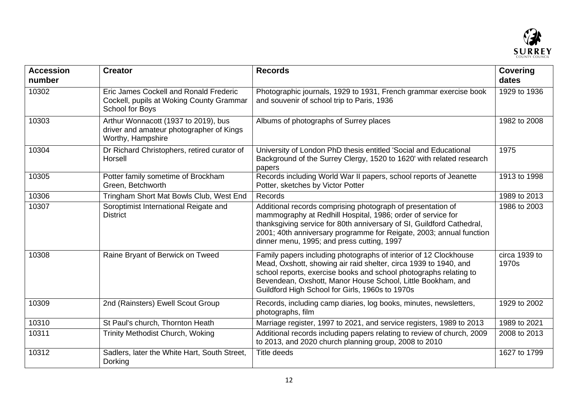

| <b>Accession</b><br>number | <b>Creator</b>                                                                                        | <b>Records</b>                                                                                                                                                                                                                                                                                                              | <b>Covering</b><br>dates |
|----------------------------|-------------------------------------------------------------------------------------------------------|-----------------------------------------------------------------------------------------------------------------------------------------------------------------------------------------------------------------------------------------------------------------------------------------------------------------------------|--------------------------|
| 10302                      | Eric James Cockell and Ronald Frederic<br>Cockell, pupils at Woking County Grammar<br>School for Boys | Photographic journals, 1929 to 1931, French grammar exercise book<br>and souvenir of school trip to Paris, 1936                                                                                                                                                                                                             | 1929 to 1936             |
| 10303                      | Arthur Wonnacott (1937 to 2019), bus<br>driver and amateur photographer of Kings<br>Worthy, Hampshire | Albums of photographs of Surrey places                                                                                                                                                                                                                                                                                      | 1982 to 2008             |
| 10304                      | Dr Richard Christophers, retired curator of<br>Horsell                                                | University of London PhD thesis entitled 'Social and Educational<br>Background of the Surrey Clergy, 1520 to 1620' with related research<br>papers                                                                                                                                                                          | 1975                     |
| 10305                      | Potter family sometime of Brockham<br>Green, Betchworth                                               | Records including World War II papers, school reports of Jeanette<br>Potter, sketches by Victor Potter                                                                                                                                                                                                                      | 1913 to 1998             |
| 10306                      | Tringham Short Mat Bowls Club, West End                                                               | Records                                                                                                                                                                                                                                                                                                                     | 1989 to 2013             |
| 10307                      | Soroptimist International Reigate and<br><b>District</b>                                              | Additional records comprising photograph of presentation of<br>mammography at Redhill Hospital, 1986; order of service for<br>thanksgiving service for 80th anniversary of SI, Guildford Cathedral,<br>2001; 40th anniversary programme for Reigate, 2003; annual function<br>dinner menu, 1995; and press cutting, 1997    | 1986 to 2003             |
| 10308                      | Raine Bryant of Berwick on Tweed                                                                      | Family papers including photographs of interior of 12 Clockhouse<br>Mead, Oxshott, showing air raid shelter, circa 1939 to 1940, and<br>school reports, exercise books and school photographs relating to<br>Bevendean, Oxshott, Manor House School, Little Bookham, and<br>Guildford High School for Girls, 1960s to 1970s | circa 1939 to<br>1970s   |
| 10309                      | 2nd (Rainsters) Ewell Scout Group                                                                     | Records, including camp diaries, log books, minutes, newsletters,<br>photographs, film                                                                                                                                                                                                                                      | 1929 to 2002             |
| 10310                      | St Paul's church, Thornton Heath                                                                      | Marriage register, 1997 to 2021, and service registers, 1989 to 2013                                                                                                                                                                                                                                                        | 1989 to 2021             |
| 10311                      | <b>Trinity Methodist Church, Woking</b>                                                               | Additional records including papers relating to review of church, 2009<br>to 2013, and 2020 church planning group, 2008 to 2010                                                                                                                                                                                             | 2008 to 2013             |
| 10312                      | Sadlers, later the White Hart, South Street,<br>Dorking                                               | <b>Title deeds</b>                                                                                                                                                                                                                                                                                                          | 1627 to 1799             |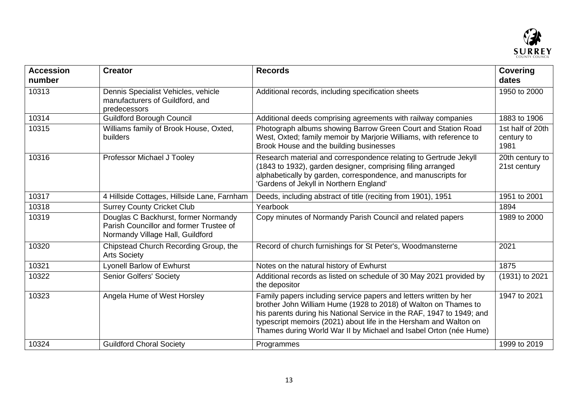

| <b>Accession</b><br>number | <b>Creator</b>                                                                                                      | <b>Records</b>                                                                                                                                                                                                                                                                                                                                          | <b>Covering</b><br>dates               |
|----------------------------|---------------------------------------------------------------------------------------------------------------------|---------------------------------------------------------------------------------------------------------------------------------------------------------------------------------------------------------------------------------------------------------------------------------------------------------------------------------------------------------|----------------------------------------|
| 10313                      | Dennis Specialist Vehicles, vehicle<br>manufacturers of Guildford, and<br>predecessors                              | Additional records, including specification sheets                                                                                                                                                                                                                                                                                                      | 1950 to 2000                           |
| 10314                      | <b>Guildford Borough Council</b>                                                                                    | Additional deeds comprising agreements with railway companies                                                                                                                                                                                                                                                                                           | 1883 to 1906                           |
| 10315                      | Williams family of Brook House, Oxted,<br>builders                                                                  | Photograph albums showing Barrow Green Court and Station Road<br>West, Oxted; family memoir by Marjorie Williams, with reference to<br>Brook House and the building businesses                                                                                                                                                                          | 1st half of 20th<br>century to<br>1981 |
| 10316                      | Professor Michael J Tooley                                                                                          | Research material and correspondence relating to Gertrude Jekyll<br>(1843 to 1932), garden designer, comprising filing arranged<br>alphabetically by garden, correspondence, and manuscripts for<br>'Gardens of Jekyll in Northern England'                                                                                                             | 20th century to<br>21st century        |
| 10317                      | 4 Hillside Cottages, Hillside Lane, Farnham                                                                         | Deeds, including abstract of title (reciting from 1901), 1951                                                                                                                                                                                                                                                                                           | 1951 to 2001                           |
| 10318                      | <b>Surrey County Cricket Club</b>                                                                                   | Yearbook                                                                                                                                                                                                                                                                                                                                                | 1894                                   |
| 10319                      | Douglas C Backhurst, former Normandy<br>Parish Councillor and former Trustee of<br>Normandy Village Hall, Guildford | Copy minutes of Normandy Parish Council and related papers                                                                                                                                                                                                                                                                                              | 1989 to 2000                           |
| 10320                      | Chipstead Church Recording Group, the<br><b>Arts Society</b>                                                        | Record of church furnishings for St Peter's, Woodmansterne                                                                                                                                                                                                                                                                                              | 2021                                   |
| 10321                      | Lyonell Barlow of Ewhurst                                                                                           | Notes on the natural history of Ewhurst                                                                                                                                                                                                                                                                                                                 | 1875                                   |
| 10322                      | <b>Senior Golfers' Society</b>                                                                                      | Additional records as listed on schedule of 30 May 2021 provided by<br>the depositor                                                                                                                                                                                                                                                                    | (1931) to 2021                         |
| 10323                      | Angela Hume of West Horsley                                                                                         | Family papers including service papers and letters written by her<br>brother John William Hume (1928 to 2018) of Walton on Thames to<br>his parents during his National Service in the RAF, 1947 to 1949; and<br>typescript memoirs (2021) about life in the Hersham and Walton on<br>Thames during World War II by Michael and Isabel Orton (née Hume) | 1947 to 2021                           |
| 10324                      | <b>Guildford Choral Society</b>                                                                                     | Programmes                                                                                                                                                                                                                                                                                                                                              | 1999 to 2019                           |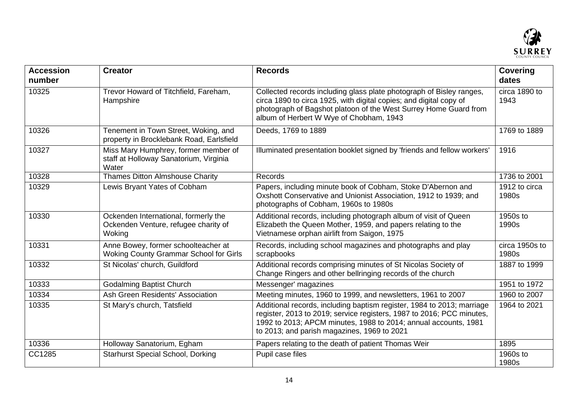

| <b>Accession</b><br>number | <b>Creator</b>                                                                          | <b>Records</b>                                                                                                                                                                                                                                                    | <b>Covering</b><br>dates |
|----------------------------|-----------------------------------------------------------------------------------------|-------------------------------------------------------------------------------------------------------------------------------------------------------------------------------------------------------------------------------------------------------------------|--------------------------|
| 10325                      | Trevor Howard of Titchfield, Fareham,<br>Hampshire                                      | Collected records including glass plate photograph of Bisley ranges,<br>circa 1890 to circa 1925, with digital copies; and digital copy of<br>photograph of Bagshot platoon of the West Surrey Home Guard from<br>album of Herbert W Wye of Chobham, 1943         | circa 1890 to<br>1943    |
| 10326                      | Tenement in Town Street, Woking, and<br>property in Brocklebank Road, Earlsfield        | Deeds, 1769 to 1889                                                                                                                                                                                                                                               | 1769 to 1889             |
| 10327                      | Miss Mary Humphrey, former member of<br>staff at Holloway Sanatorium, Virginia<br>Water | Illuminated presentation booklet signed by 'friends and fellow workers'                                                                                                                                                                                           | 1916                     |
| 10328                      | <b>Thames Ditton Almshouse Charity</b>                                                  | Records                                                                                                                                                                                                                                                           | 1736 to 2001             |
| 10329                      | Lewis Bryant Yates of Cobham                                                            | Papers, including minute book of Cobham, Stoke D'Abernon and<br>Oxshott Conservative and Unionist Association, 1912 to 1939; and<br>photographs of Cobham, 1960s to 1980s                                                                                         | 1912 to circa<br>1980s   |
| 10330                      | Ockenden International, formerly the<br>Ockenden Venture, refugee charity of<br>Woking  | Additional records, including photograph album of visit of Queen<br>Elizabeth the Queen Mother, 1959, and papers relating to the<br>Vietnamese orphan airlift from Saigon, 1975                                                                                   | 1950s to<br>1990s        |
| 10331                      | Anne Bowey, former schoolteacher at<br><b>Woking County Grammar School for Girls</b>    | Records, including school magazines and photographs and play<br>scrapbooks                                                                                                                                                                                        | circa 1950s to<br>1980s  |
| 10332                      | St Nicolas' church, Guildford                                                           | Additional records comprising minutes of St Nicolas Society of<br>Change Ringers and other bellringing records of the church                                                                                                                                      | 1887 to 1999             |
| 10333                      | <b>Godalming Baptist Church</b>                                                         | Messenger' magazines                                                                                                                                                                                                                                              | 1951 to 1972             |
| 10334                      | Ash Green Residents' Association                                                        | Meeting minutes, 1960 to 1999, and newsletters, 1961 to 2007                                                                                                                                                                                                      | 1960 to 2007             |
| 10335                      | St Mary's church, Tatsfield                                                             | Additional records, including baptism register, 1984 to 2013; marriage<br>register, 2013 to 2019; service registers, 1987 to 2016; PCC minutes,<br>1992 to 2013; APCM minutes, 1988 to 2014; annual accounts, 1981<br>to 2013; and parish magazines, 1969 to 2021 | 1964 to 2021             |
| 10336                      | Holloway Sanatorium, Egham                                                              | Papers relating to the death of patient Thomas Weir                                                                                                                                                                                                               | 1895                     |
| CC1285                     | <b>Starhurst Special School, Dorking</b>                                                | Pupil case files                                                                                                                                                                                                                                                  | 1960s to<br>1980s        |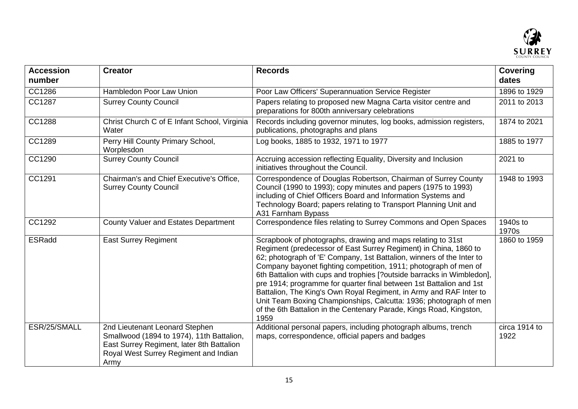

| <b>Accession</b><br>number | <b>Creator</b>                                                                                                                                                            | <b>Records</b>                                                                                                                                                                                                                                                                                                                                                                                                                                                                                                                                                                                                                                          | <b>Covering</b><br>dates |
|----------------------------|---------------------------------------------------------------------------------------------------------------------------------------------------------------------------|---------------------------------------------------------------------------------------------------------------------------------------------------------------------------------------------------------------------------------------------------------------------------------------------------------------------------------------------------------------------------------------------------------------------------------------------------------------------------------------------------------------------------------------------------------------------------------------------------------------------------------------------------------|--------------------------|
| CC1286                     | Hambledon Poor Law Union                                                                                                                                                  | Poor Law Officers' Superannuation Service Register                                                                                                                                                                                                                                                                                                                                                                                                                                                                                                                                                                                                      | 1896 to 1929             |
| CC1287                     | <b>Surrey County Council</b>                                                                                                                                              | Papers relating to proposed new Magna Carta visitor centre and<br>preparations for 800th anniversary celebrations                                                                                                                                                                                                                                                                                                                                                                                                                                                                                                                                       | 2011 to 2013             |
| CC1288                     | Christ Church C of E Infant School, Virginia<br>Water                                                                                                                     | Records including governor minutes, log books, admission registers,<br>publications, photographs and plans                                                                                                                                                                                                                                                                                                                                                                                                                                                                                                                                              | 1874 to 2021             |
| CC1289                     | Perry Hill County Primary School,<br>Worplesdon                                                                                                                           | Log books, 1885 to 1932, 1971 to 1977                                                                                                                                                                                                                                                                                                                                                                                                                                                                                                                                                                                                                   | 1885 to 1977             |
| CC1290                     | <b>Surrey County Council</b>                                                                                                                                              | Accruing accession reflecting Equality, Diversity and Inclusion<br>initiatives throughout the Council.                                                                                                                                                                                                                                                                                                                                                                                                                                                                                                                                                  | 2021 to                  |
| CC1291                     | Chairman's and Chief Executive's Office,<br><b>Surrey County Council</b>                                                                                                  | Correspondence of Douglas Robertson, Chairman of Surrey County<br>Council (1990 to 1993); copy minutes and papers (1975 to 1993)<br>including of Chief Officers Board and Information Systems and<br>Technology Board; papers relating to Transport Planning Unit and<br>A31 Farnham Bypass                                                                                                                                                                                                                                                                                                                                                             | 1948 to 1993             |
| CC1292                     | County Valuer and Estates Department                                                                                                                                      | Correspondence files relating to Surrey Commons and Open Spaces                                                                                                                                                                                                                                                                                                                                                                                                                                                                                                                                                                                         | 1940s to<br>1970s        |
| ESRadd                     | <b>East Surrey Regiment</b>                                                                                                                                               | Scrapbook of photographs, drawing and maps relating to 31st<br>Regiment (predecessor of East Surrey Regiment) in China, 1860 to<br>62; photograph of 'E' Company, 1st Battalion, winners of the Inter to<br>Company bayonet fighting competition, 1911; photograph of men of<br>6th Battalion with cups and trophies [?outside barracks in Wimbledon],<br>pre 1914; programme for quarter final between 1st Battalion and 1st<br>Battalion, The King's Own Royal Regiment, in Army and RAF Inter to<br>Unit Team Boxing Championships, Calcutta: 1936; photograph of men<br>of the 6th Battalion in the Centenary Parade, Kings Road, Kingston,<br>1959 | 1860 to 1959             |
| ESR/25/SMALL               | 2nd Lieutenant Leonard Stephen<br>Smallwood (1894 to 1974), 11th Battalion,<br>East Surrey Regiment, later 8th Battalion<br>Royal West Surrey Regiment and Indian<br>Army | Additional personal papers, including photograph albums, trench<br>maps, correspondence, official papers and badges                                                                                                                                                                                                                                                                                                                                                                                                                                                                                                                                     | circa 1914 to<br>1922    |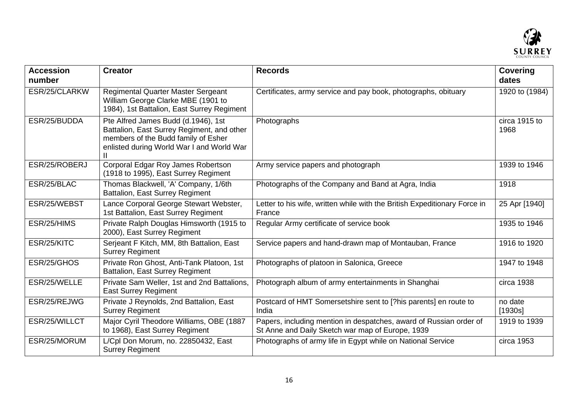

| <b>Accession</b><br>number | <b>Creator</b>                                                                                                                                                        | <b>Records</b>                                                                                                         | <b>Covering</b><br>dates |
|----------------------------|-----------------------------------------------------------------------------------------------------------------------------------------------------------------------|------------------------------------------------------------------------------------------------------------------------|--------------------------|
| ESR/25/CLARKW              | Regimental Quarter Master Sergeant<br>William George Clarke MBE (1901 to<br>1984), 1st Battalion, East Surrey Regiment                                                | Certificates, army service and pay book, photographs, obituary                                                         | 1920 to (1984)           |
| ESR/25/BUDDA               | Pte Alfred James Budd (d.1946), 1st<br>Battalion, East Surrey Regiment, and other<br>members of the Budd family of Esher<br>enlisted during World War I and World War | Photographs                                                                                                            | circa 1915 to<br>1968    |
| ESR/25/ROBERJ              | Corporal Edgar Roy James Robertson<br>(1918 to 1995), East Surrey Regiment                                                                                            | Army service papers and photograph                                                                                     | 1939 to 1946             |
| ESR/25/BLAC                | Thomas Blackwell, 'A' Company, 1/6th<br><b>Battalion, East Surrey Regiment</b>                                                                                        | Photographs of the Company and Band at Agra, India                                                                     | 1918                     |
| ESR/25/WEBST               | Lance Corporal George Stewart Webster,<br>1st Battalion, East Surrey Regiment                                                                                         | Letter to his wife, written while with the British Expeditionary Force in<br>France                                    | 25 Apr [1940]            |
| ESR/25/HIMS                | Private Ralph Douglas Himsworth (1915 to<br>2000), East Surrey Regiment                                                                                               | Regular Army certificate of service book                                                                               | 1935 to 1946             |
| ESR/25/KITC                | Serjeant F Kitch, MM, 8th Battalion, East<br><b>Surrey Regiment</b>                                                                                                   | Service papers and hand-drawn map of Montauban, France                                                                 | 1916 to 1920             |
| ESR/25/GHOS                | Private Ron Ghost, Anti-Tank Platoon, 1st<br><b>Battalion, East Surrey Regiment</b>                                                                                   | Photographs of platoon in Salonica, Greece                                                                             | 1947 to 1948             |
| ESR/25/WELLE               | Private Sam Weller, 1st and 2nd Battalions,<br><b>East Surrey Regiment</b>                                                                                            | Photograph album of army entertainments in Shanghai                                                                    | circa 1938               |
| ESR/25/REJWG               | Private J Reynolds, 2nd Battalion, East<br><b>Surrey Regiment</b>                                                                                                     | Postcard of HMT Somersetshire sent to [?his parents] en route to<br>India                                              | no date<br>[1930s]       |
| ESR/25/WILLCT              | Major Cyril Theodore Williams, OBE (1887<br>to 1968), East Surrey Regiment                                                                                            | Papers, including mention in despatches, award of Russian order of<br>St Anne and Daily Sketch war map of Europe, 1939 | 1919 to 1939             |
| ESR/25/MORUM               | L/Cpl Don Morum, no. 22850432, East<br><b>Surrey Regiment</b>                                                                                                         | Photographs of army life in Egypt while on National Service                                                            | circa 1953               |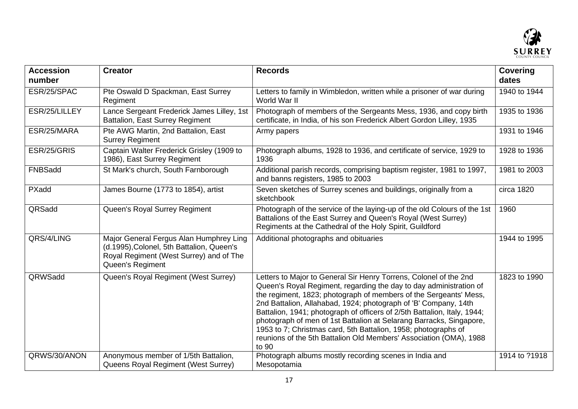

| <b>Accession</b><br>number | <b>Creator</b>                                                                                                                                      | <b>Records</b>                                                                                                                                                                                                                                                                                                                                                                                                                                                                                                                                                                      | <b>Covering</b><br>dates |
|----------------------------|-----------------------------------------------------------------------------------------------------------------------------------------------------|-------------------------------------------------------------------------------------------------------------------------------------------------------------------------------------------------------------------------------------------------------------------------------------------------------------------------------------------------------------------------------------------------------------------------------------------------------------------------------------------------------------------------------------------------------------------------------------|--------------------------|
| ESR/25/SPAC                | Pte Oswald D Spackman, East Surrey<br>Regiment                                                                                                      | Letters to family in Wimbledon, written while a prisoner of war during<br>World War II                                                                                                                                                                                                                                                                                                                                                                                                                                                                                              | 1940 to 1944             |
| ESR/25/LILLEY              | Lance Sergeant Frederick James Lilley, 1st<br><b>Battalion, East Surrey Regiment</b>                                                                | Photograph of members of the Sergeants Mess, 1936, and copy birth<br>certificate, in India, of his son Frederick Albert Gordon Lilley, 1935                                                                                                                                                                                                                                                                                                                                                                                                                                         | 1935 to 1936             |
| ESR/25/MARA                | Pte AWG Martin, 2nd Battalion, East<br><b>Surrey Regiment</b>                                                                                       | Army papers                                                                                                                                                                                                                                                                                                                                                                                                                                                                                                                                                                         | 1931 to 1946             |
| ESR/25/GRIS                | Captain Walter Frederick Grisley (1909 to<br>1986), East Surrey Regiment                                                                            | Photograph albums, 1928 to 1936, and certificate of service, 1929 to<br>1936                                                                                                                                                                                                                                                                                                                                                                                                                                                                                                        | 1928 to 1936             |
| FNBSadd                    | St Mark's church, South Farnborough                                                                                                                 | Additional parish records, comprising baptism register, 1981 to 1997,<br>and banns registers, 1985 to 2003                                                                                                                                                                                                                                                                                                                                                                                                                                                                          | 1981 to 2003             |
| PXadd                      | James Bourne (1773 to 1854), artist                                                                                                                 | Seven sketches of Surrey scenes and buildings, originally from a<br>sketchbook                                                                                                                                                                                                                                                                                                                                                                                                                                                                                                      | circa 1820               |
| QRSadd                     | Queen's Royal Surrey Regiment                                                                                                                       | Photograph of the service of the laying-up of the old Colours of the 1st<br>Battalions of the East Surrey and Queen's Royal (West Surrey)<br>Regiments at the Cathedral of the Holy Spirit, Guildford                                                                                                                                                                                                                                                                                                                                                                               | 1960                     |
| QRS/4/LING                 | Major General Fergus Alan Humphrey Ling<br>(d.1995), Colonel, 5th Battalion, Queen's<br>Royal Regiment (West Surrey) and of The<br>Queen's Regiment | Additional photographs and obituaries                                                                                                                                                                                                                                                                                                                                                                                                                                                                                                                                               | 1944 to 1995             |
| QRWSadd                    | Queen's Royal Regiment (West Surrey)                                                                                                                | Letters to Major to General Sir Henry Torrens, Colonel of the 2nd<br>Queen's Royal Regiment, regarding the day to day administration of<br>the regiment, 1823; photograph of members of the Sergeants' Mess,<br>2nd Battalion, Allahabad, 1924; photograph of 'B' Company, 14th<br>Battalion, 1941; photograph of officers of 2/5th Battalion, Italy, 1944;<br>photograph of men of 1st Battalion at Selarang Barracks, Singapore,<br>1953 to 7; Christmas card, 5th Battalion, 1958; photographs of<br>reunions of the 5th Battalion Old Members' Association (OMA), 1988<br>to 90 | 1823 to 1990             |
| QRWS/30/ANON               | Anonymous member of 1/5th Battalion,<br>Queens Royal Regiment (West Surrey)                                                                         | Photograph albums mostly recording scenes in India and<br>Mesopotamia                                                                                                                                                                                                                                                                                                                                                                                                                                                                                                               | 1914 to ?1918            |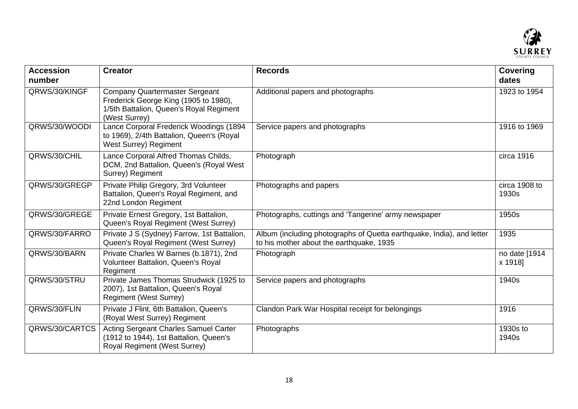

| <b>Accession</b><br>number | <b>Creator</b>                                                                                                                             | <b>Records</b>                                                                                                    | <b>Covering</b><br>dates |
|----------------------------|--------------------------------------------------------------------------------------------------------------------------------------------|-------------------------------------------------------------------------------------------------------------------|--------------------------|
| QRWS/30/KINGF              | <b>Company Quartermaster Sergeant</b><br>Frederick George King (1905 to 1980),<br>1/5th Battalion, Queen's Royal Regiment<br>(West Surrey) | Additional papers and photographs                                                                                 | 1923 to 1954             |
| QRWS/30/WOODI              | Lance Corporal Frederick Woodings (1894<br>to 1969), 2/4th Battalion, Queen's (Royal<br><b>West Surrey) Regiment</b>                       | Service papers and photographs                                                                                    | 1916 to 1969             |
| QRWS/30/CHIL               | Lance Corporal Alfred Thomas Childs,<br>DCM, 2nd Battalion, Queen's (Royal West<br>Surrey) Regiment                                        | Photograph                                                                                                        | circa 1916               |
| QRWS/30/GREGP              | Private Philip Gregory, 3rd Volunteer<br>Battalion, Queen's Royal Regiment, and<br>22nd London Regiment                                    | Photographs and papers                                                                                            | circa 1908 to<br>1930s   |
| QRWS/30/GREGE              | Private Ernest Gregory, 1st Battalion,<br>Queen's Royal Regiment (West Surrey)                                                             | Photographs, cuttings and 'Tangerine' army newspaper                                                              | 1950s                    |
| QRWS/30/FARRO              | Private J S (Sydney) Farrow, 1st Battalion,<br>Queen's Royal Regiment (West Surrey)                                                        | Album (including photographs of Quetta earthquake, India), and letter<br>to his mother about the earthquake, 1935 | 1935                     |
| QRWS/30/BARN               | Private Charles W Barnes (b.1871), 2nd<br>Volunteer Battalion, Queen's Royal<br>Regiment                                                   | Photograph                                                                                                        | no date [1914<br>x 1918] |
| QRWS/30/STRU               | Private James Thomas Strudwick (1925 to<br>2007), 1st Battalion, Queen's Royal<br><b>Regiment (West Surrey)</b>                            | Service papers and photographs                                                                                    | 1940s                    |
| QRWS/30/FLIN               | Private J Flint, 6th Battalion, Queen's<br>(Royal West Surrey) Regiment                                                                    | Clandon Park War Hospital receipt for belongings                                                                  | 1916                     |
| QRWS/30/CARTCS             | <b>Acting Sergeant Charles Samuel Carter</b><br>(1912 to 1944), 1st Battalion, Queen's<br>Royal Regiment (West Surrey)                     | Photographs                                                                                                       | 1930s to<br>1940s        |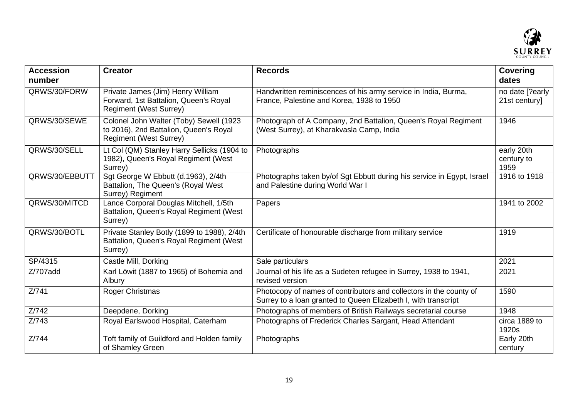

| <b>Accession</b><br>number | <b>Creator</b>                                                                                                     | <b>Records</b>                                                                                                                       | <b>Covering</b><br>dates         |
|----------------------------|--------------------------------------------------------------------------------------------------------------------|--------------------------------------------------------------------------------------------------------------------------------------|----------------------------------|
| QRWS/30/FORW               | Private James (Jim) Henry William<br>Forward, 1st Battalion, Queen's Royal<br><b>Regiment (West Surrey)</b>        | Handwritten reminiscences of his army service in India, Burma,<br>France, Palestine and Korea, 1938 to 1950                          | no date [?early<br>21st century] |
| QRWS/30/SEWE               | Colonel John Walter (Toby) Sewell (1923<br>to 2016), 2nd Battalion, Queen's Royal<br><b>Regiment (West Surrey)</b> | Photograph of A Company, 2nd Battalion, Queen's Royal Regiment<br>(West Surrey), at Kharakvasla Camp, India                          | 1946                             |
| QRWS/30/SELL               | Lt Col (QM) Stanley Harry Sellicks (1904 to<br>1982), Queen's Royal Regiment (West<br>Surrey)                      | Photographs                                                                                                                          | early 20th<br>century to<br>1959 |
| QRWS/30/EBBUTT             | Sgt George W Ebbutt (d.1963), 2/4th<br>Battalion, The Queen's (Royal West<br>Surrey) Regiment                      | Photographs taken by/of Sgt Ebbutt during his service in Egypt, Israel<br>and Palestine during World War I                           | 1916 to 1918                     |
| QRWS/30/MITCD              | Lance Corporal Douglas Mitchell, 1/5th<br>Battalion, Queen's Royal Regiment (West<br>Surrey)                       | Papers                                                                                                                               | 1941 to 2002                     |
| QRWS/30/BOTL               | Private Stanley Botly (1899 to 1988), 2/4th<br>Battalion, Queen's Royal Regiment (West<br>Surrey)                  | Certificate of honourable discharge from military service                                                                            | 1919                             |
| SP/4315                    | Castle Mill, Dorking                                                                                               | Sale particulars                                                                                                                     | 2021                             |
| $\overline{Z}$ /707add     | Karl Löwit (1887 to 1965) of Bohemia and<br>Albury                                                                 | Journal of his life as a Sudeten refugee in Surrey, 1938 to 1941,<br>revised version                                                 | 2021                             |
| Z/741                      | Roger Christmas                                                                                                    | Photocopy of names of contributors and collectors in the county of<br>Surrey to a loan granted to Queen Elizabeth I, with transcript | 1590                             |
| Z/742                      | Deepdene, Dorking                                                                                                  | Photographs of members of British Railways secretarial course                                                                        | 1948                             |
| Z/743                      | Royal Earlswood Hospital, Caterham                                                                                 | Photographs of Frederick Charles Sargant, Head Attendant                                                                             | circa 1889 to<br>1920s           |
| Z/744                      | Toft family of Guildford and Holden family<br>of Shamley Green                                                     | Photographs                                                                                                                          | Early 20th<br>century            |